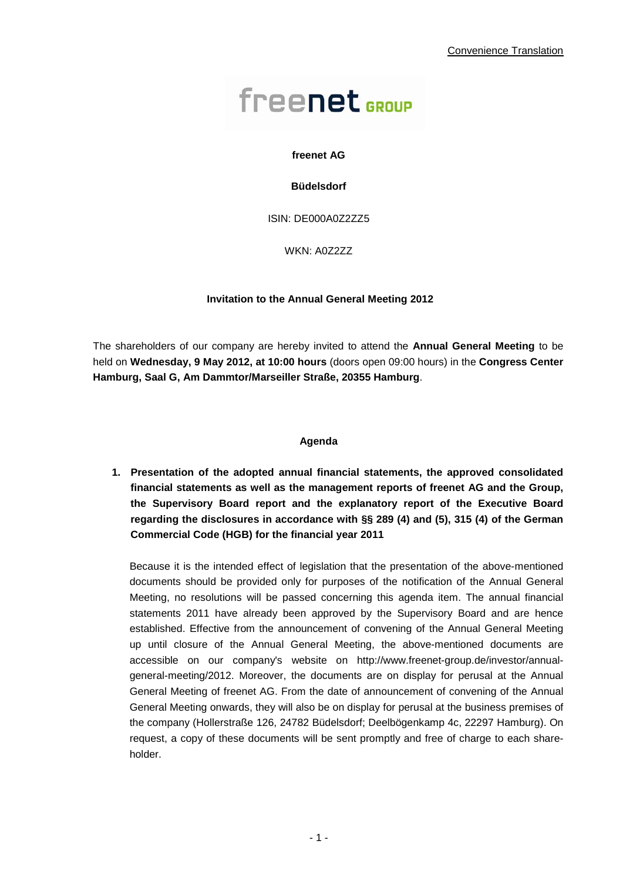# freenet<sub>GROUP</sub>

#### **freenet AG**

#### **Büdelsdorf**

ISIN: DE000A0Z2ZZ5

WKN: A0Z2ZZ

#### **Invitation to the Annual General Meeting 2012**

The shareholders of our company are hereby invited to attend the **Annual General Meeting** to be held on **Wednesday, 9 May 2012, at 10:00 hours** (doors open 09:00 hours) in the **Congress Center Hamburg, Saal G, Am Dammtor/Marseiller Straße, 20355 Hamburg**.

#### **Agenda**

**1. Presentation of the adopted annual financial statements, the approved consolidated financial statements as well as the management reports of freenet AG and the Group, the Supervisory Board report and the explanatory report of the Executive Board regarding the disclosures in accordance with §§ 289 (4) and (5), 315 (4) of the German Commercial Code (HGB) for the financial year 2011** 

Because it is the intended effect of legislation that the presentation of the above-mentioned documents should be provided only for purposes of the notification of the Annual General Meeting, no resolutions will be passed concerning this agenda item. The annual financial statements 2011 have already been approved by the Supervisory Board and are hence established. Effective from the announcement of convening of the Annual General Meeting up until closure of the Annual General Meeting, the above-mentioned documents are accessible on our company's website on http://www.freenet-group.de/investor/annualgeneral-meeting/2012. Moreover, the documents are on display for perusal at the Annual General Meeting of freenet AG. From the date of announcement of convening of the Annual General Meeting onwards, they will also be on display for perusal at the business premises of the company (Hollerstraße 126, 24782 Büdelsdorf; Deelbögenkamp 4c, 22297 Hamburg). On request, a copy of these documents will be sent promptly and free of charge to each shareholder.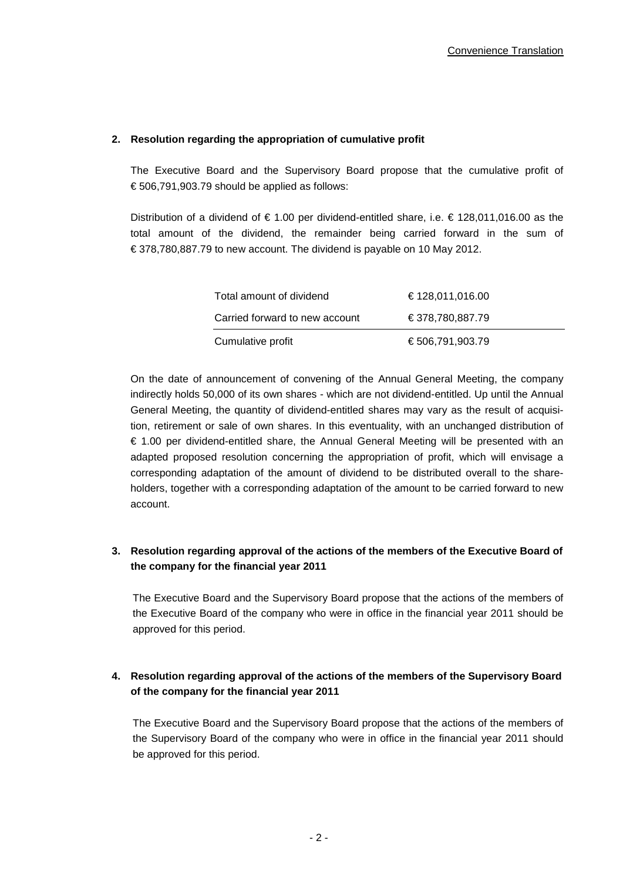#### **2. Resolution regarding the appropriation of cumulative profit**

The Executive Board and the Supervisory Board propose that the cumulative profit of € 506,791,903.79 should be applied as follows:

Distribution of a dividend of € 1.00 per dividend-entitled share, i.e. € 128,011,016.00 as the total amount of the dividend, the remainder being carried forward in the sum of € 378,780,887.79 to new account. The dividend is payable on 10 May 2012.

| Total amount of dividend       | €128,011,016.00  |
|--------------------------------|------------------|
| Carried forward to new account | €378,780,887.79  |
| Cumulative profit              | € 506,791,903.79 |

On the date of announcement of convening of the Annual General Meeting, the company indirectly holds 50,000 of its own shares - which are not dividend-entitled. Up until the Annual General Meeting, the quantity of dividend-entitled shares may vary as the result of acquisition, retirement or sale of own shares. In this eventuality, with an unchanged distribution of € 1.00 per dividend-entitled share, the Annual General Meeting will be presented with an adapted proposed resolution concerning the appropriation of profit, which will envisage a corresponding adaptation of the amount of dividend to be distributed overall to the shareholders, together with a corresponding adaptation of the amount to be carried forward to new account.

# **3. Resolution regarding approval of the actions of the members of the Executive Board of the company for the financial year 2011**

The Executive Board and the Supervisory Board propose that the actions of the members of the Executive Board of the company who were in office in the financial year 2011 should be approved for this period.

# **4. Resolution regarding approval of the actions of the members of the Supervisory Board of the company for the financial year 2011**

The Executive Board and the Supervisory Board propose that the actions of the members of the Supervisory Board of the company who were in office in the financial year 2011 should be approved for this period.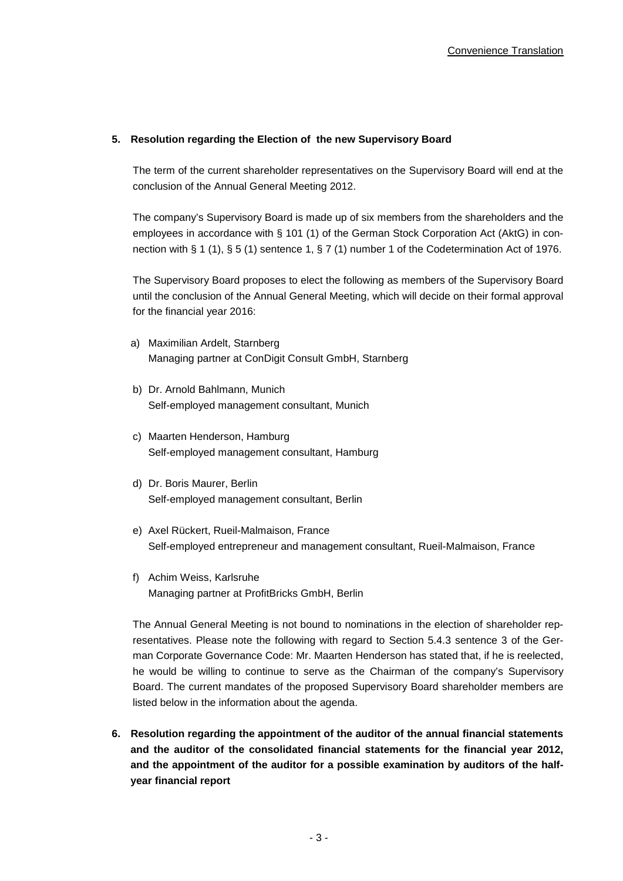#### **5. Resolution regarding the Election of the new Supervisory Board**

The term of the current shareholder representatives on the Supervisory Board will end at the conclusion of the Annual General Meeting 2012.

The company's Supervisory Board is made up of six members from the shareholders and the employees in accordance with § 101 (1) of the German Stock Corporation Act (AktG) in connection with § 1 (1), § 5 (1) sentence 1, § 7 (1) number 1 of the Codetermination Act of 1976.

The Supervisory Board proposes to elect the following as members of the Supervisory Board until the conclusion of the Annual General Meeting, which will decide on their formal approval for the financial year 2016:

- a) Maximilian Ardelt, Starnberg Managing partner at ConDigit Consult GmbH, Starnberg
- b) Dr. Arnold Bahlmann, Munich Self-employed management consultant, Munich
- c) Maarten Henderson, Hamburg Self-employed management consultant, Hamburg
- d) Dr. Boris Maurer, Berlin Self-employed management consultant, Berlin
- e) Axel Rückert, Rueil-Malmaison, France Self-employed entrepreneur and management consultant, Rueil-Malmaison, France
- f) Achim Weiss, Karlsruhe Managing partner at ProfitBricks GmbH, Berlin

The Annual General Meeting is not bound to nominations in the election of shareholder representatives. Please note the following with regard to Section 5.4.3 sentence 3 of the German Corporate Governance Code: Mr. Maarten Henderson has stated that, if he is reelected, he would be willing to continue to serve as the Chairman of the company's Supervisory Board. The current mandates of the proposed Supervisory Board shareholder members are listed below in the information about the agenda.

**6. Resolution regarding the appointment of the auditor of the annual financial statements and the auditor of the consolidated financial statements for the financial year 2012, and the appointment of the auditor for a possible examination by auditors of the halfyear financial report**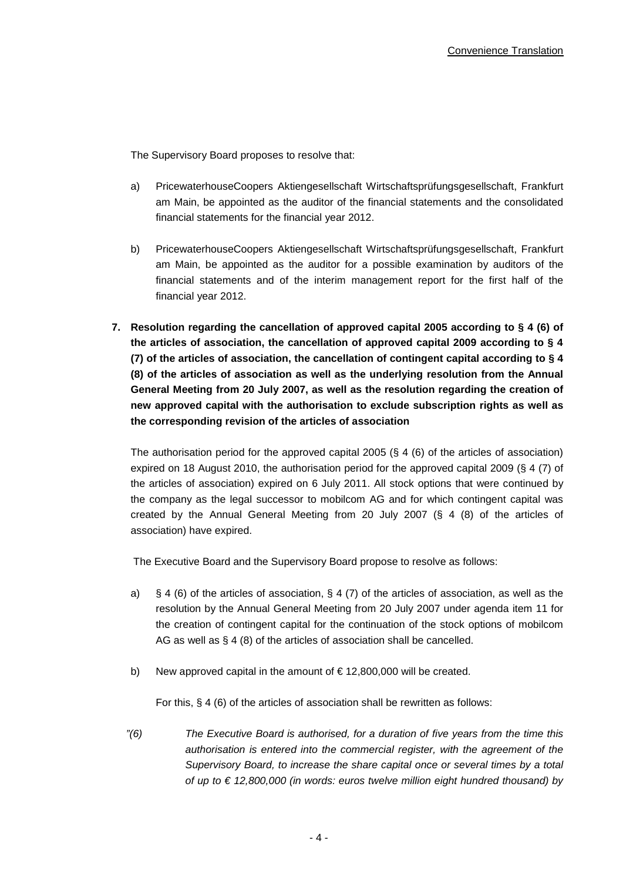The Supervisory Board proposes to resolve that:

- a) PricewaterhouseCoopers Aktiengesellschaft Wirtschaftsprüfungsgesellschaft, Frankfurt am Main, be appointed as the auditor of the financial statements and the consolidated financial statements for the financial year 2012.
- b) PricewaterhouseCoopers Aktiengesellschaft Wirtschaftsprüfungsgesellschaft, Frankfurt am Main, be appointed as the auditor for a possible examination by auditors of the financial statements and of the interim management report for the first half of the financial year 2012.
- **7. Resolution regarding the cancellation of approved capital 2005 according to § 4 (6) of the articles of association, the cancellation of approved capital 2009 according to § 4 (7) of the articles of association, the cancellation of contingent capital according to § 4 (8) of the articles of association as well as the underlying resolution from the Annual General Meeting from 20 July 2007, as well as the resolution regarding the creation of new approved capital with the authorisation to exclude subscription rights as well as the corresponding revision of the articles of association**

The authorisation period for the approved capital 2005 (§ 4 (6) of the articles of association) expired on 18 August 2010, the authorisation period for the approved capital 2009 (§ 4 (7) of the articles of association) expired on 6 July 2011. All stock options that were continued by the company as the legal successor to mobilcom AG and for which contingent capital was created by the Annual General Meeting from 20 July 2007 (§ 4 (8) of the articles of association) have expired.

The Executive Board and the Supervisory Board propose to resolve as follows:

- a) § 4 (6) of the articles of association, § 4 (7) of the articles of association, as well as the resolution by the Annual General Meeting from 20 July 2007 under agenda item 11 for the creation of contingent capital for the continuation of the stock options of mobilcom AG as well as § 4 (8) of the articles of association shall be cancelled.
- b) New approved capital in the amount of  $\epsilon$  12,800,000 will be created.

For this, § 4 (6) of the articles of association shall be rewritten as follows:

*"(6) The Executive Board is authorised, for a duration of five years from the time this authorisation is entered into the commercial register, with the agreement of the Supervisory Board, to increase the share capital once or several times by a total of up to € 12,800,000 (in words: euros twelve million eight hundred thousand) by*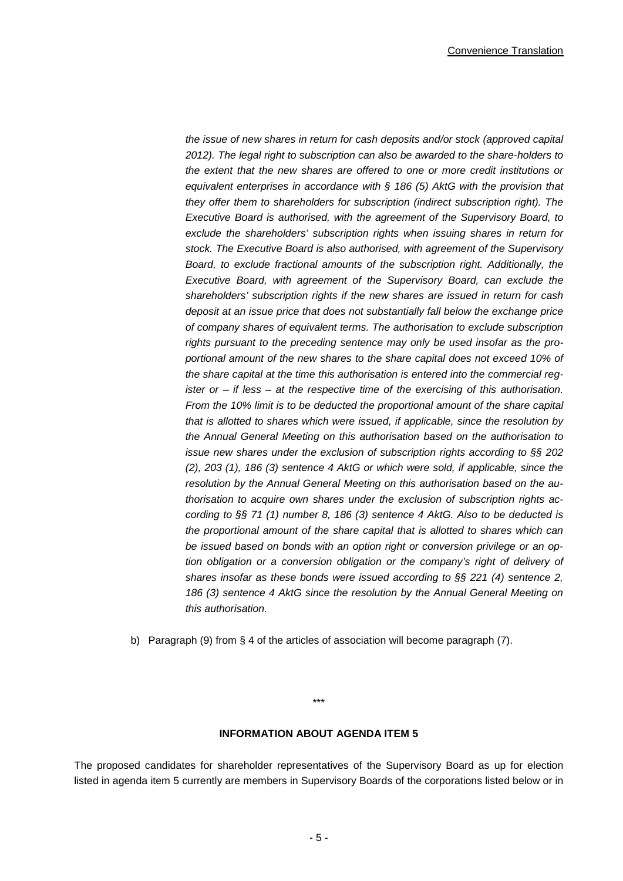*the issue of new shares in return for cash deposits and/or stock (approved capital 2012). The legal right to subscription can also be awarded to the share-holders to the extent that the new shares are offered to one or more credit institutions or equivalent enterprises in accordance with § 186 (5) AktG with the provision that they offer them to shareholders for subscription (indirect subscription right). The Executive Board is authorised, with the agreement of the Supervisory Board, to exclude the shareholders' subscription rights when issuing shares in return for stock. The Executive Board is also authorised, with agreement of the Supervisory Board, to exclude fractional amounts of the subscription right. Additionally, the Executive Board, with agreement of the Supervisory Board, can exclude the shareholders' subscription rights if the new shares are issued in return for cash deposit at an issue price that does not substantially fall below the exchange price of company shares of equivalent terms. The authorisation to exclude subscription rights pursuant to the preceding sentence may only be used insofar as the proportional amount of the new shares to the share capital does not exceed 10% of the share capital at the time this authorisation is entered into the commercial register or – if less – at the respective time of the exercising of this authorisation. From the 10% limit is to be deducted the proportional amount of the share capital that is allotted to shares which were issued, if applicable, since the resolution by the Annual General Meeting on this authorisation based on the authorisation to issue new shares under the exclusion of subscription rights according to §§ 202 (2), 203 (1), 186 (3) sentence 4 AktG or which were sold, if applicable, since the resolution by the Annual General Meeting on this authorisation based on the authorisation to acquire own shares under the exclusion of subscription rights according to §§ 71 (1) number 8, 186 (3) sentence 4 AktG. Also to be deducted is the proportional amount of the share capital that is allotted to shares which can be issued based on bonds with an option right or conversion privilege or an option obligation or a conversion obligation or the company's right of delivery of shares insofar as these bonds were issued according to §§ 221 (4) sentence 2,*  186 (3) sentence 4 AktG since the resolution by the Annual General Meeting on *this authorisation.*

b) Paragraph (9) from § 4 of the articles of association will become paragraph (7).

## **INFORMATION ABOUT AGENDA ITEM 5**

\*\*\*

The proposed candidates for shareholder representatives of the Supervisory Board as up for election listed in agenda item 5 currently are members in Supervisory Boards of the corporations listed below or in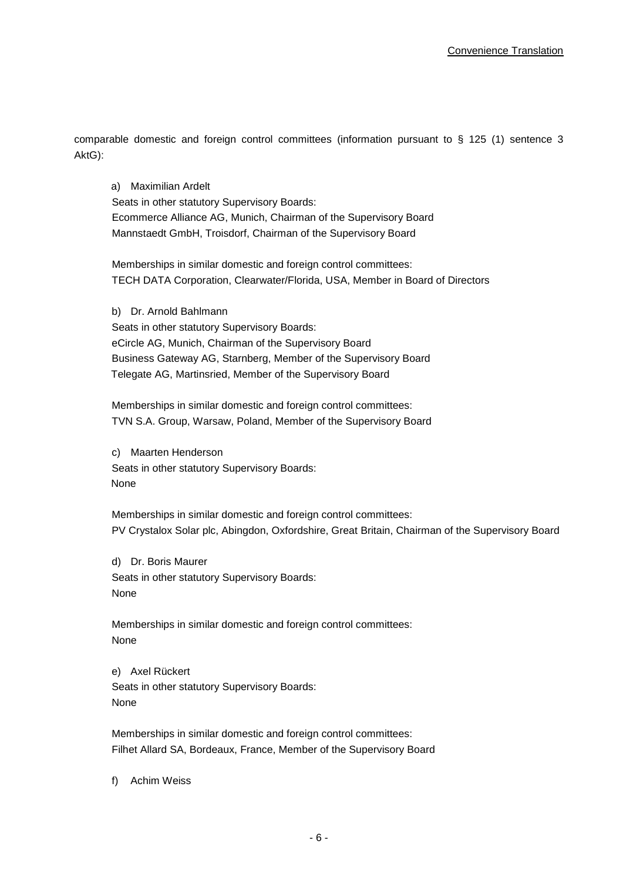comparable domestic and foreign control committees (information pursuant to § 125 (1) sentence 3 AktG):

a) Maximilian Ardelt Seats in other statutory Supervisory Boards: Ecommerce Alliance AG, Munich, Chairman of the Supervisory Board Mannstaedt GmbH, Troisdorf, Chairman of the Supervisory Board

Memberships in similar domestic and foreign control committees: TECH DATA Corporation, Clearwater/Florida, USA, Member in Board of Directors

b) Dr. Arnold Bahlmann Seats in other statutory Supervisory Boards: eCircle AG, Munich, Chairman of the Supervisory Board Business Gateway AG, Starnberg, Member of the Supervisory Board Telegate AG, Martinsried, Member of the Supervisory Board

Memberships in similar domestic and foreign control committees: TVN S.A. Group, Warsaw, Poland, Member of the Supervisory Board

c) Maarten Henderson Seats in other statutory Supervisory Boards: None

Memberships in similar domestic and foreign control committees: PV Crystalox Solar plc, Abingdon, Oxfordshire, Great Britain, Chairman of the Supervisory Board

d) Dr. Boris Maurer Seats in other statutory Supervisory Boards: None

Memberships in similar domestic and foreign control committees: None

e) Axel Rückert Seats in other statutory Supervisory Boards: None

Memberships in similar domestic and foreign control committees: Filhet Allard SA, Bordeaux, France, Member of the Supervisory Board

f) Achim Weiss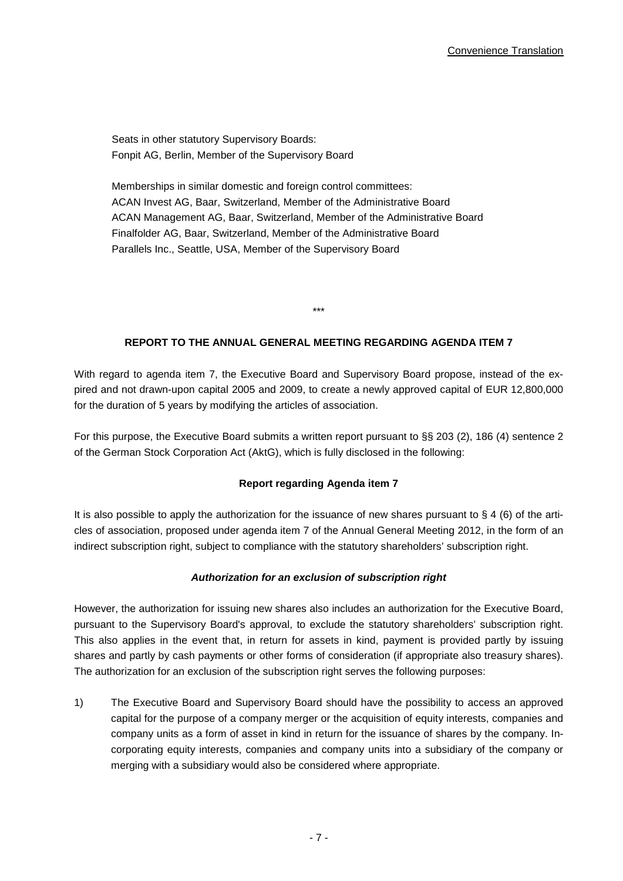Seats in other statutory Supervisory Boards: Fonpit AG, Berlin, Member of the Supervisory Board

Memberships in similar domestic and foreign control committees: ACAN Invest AG, Baar, Switzerland, Member of the Administrative Board ACAN Management AG, Baar, Switzerland, Member of the Administrative Board Finalfolder AG, Baar, Switzerland, Member of the Administrative Board Parallels Inc., Seattle, USA, Member of the Supervisory Board

## **REPORT TO THE ANNUAL GENERAL MEETING REGARDING AGENDA ITEM 7**

\*\*\*

With regard to agenda item 7, the Executive Board and Supervisory Board propose, instead of the expired and not drawn-upon capital 2005 and 2009, to create a newly approved capital of EUR 12,800,000 for the duration of 5 years by modifying the articles of association.

For this purpose, the Executive Board submits a written report pursuant to §§ 203 (2), 186 (4) sentence 2 of the German Stock Corporation Act (AktG), which is fully disclosed in the following:

#### **Report regarding Agenda item 7**

It is also possible to apply the authorization for the issuance of new shares pursuant to  $\S 4$  (6) of the articles of association, proposed under agenda item 7 of the Annual General Meeting 2012, in the form of an indirect subscription right, subject to compliance with the statutory shareholders' subscription right.

#### *Authorization for an exclusion of subscription right*

However, the authorization for issuing new shares also includes an authorization for the Executive Board, pursuant to the Supervisory Board's approval, to exclude the statutory shareholders' subscription right. This also applies in the event that, in return for assets in kind, payment is provided partly by issuing shares and partly by cash payments or other forms of consideration (if appropriate also treasury shares). The authorization for an exclusion of the subscription right serves the following purposes:

1) The Executive Board and Supervisory Board should have the possibility to access an approved capital for the purpose of a company merger or the acquisition of equity interests, companies and company units as a form of asset in kind in return for the issuance of shares by the company. Incorporating equity interests, companies and company units into a subsidiary of the company or merging with a subsidiary would also be considered where appropriate.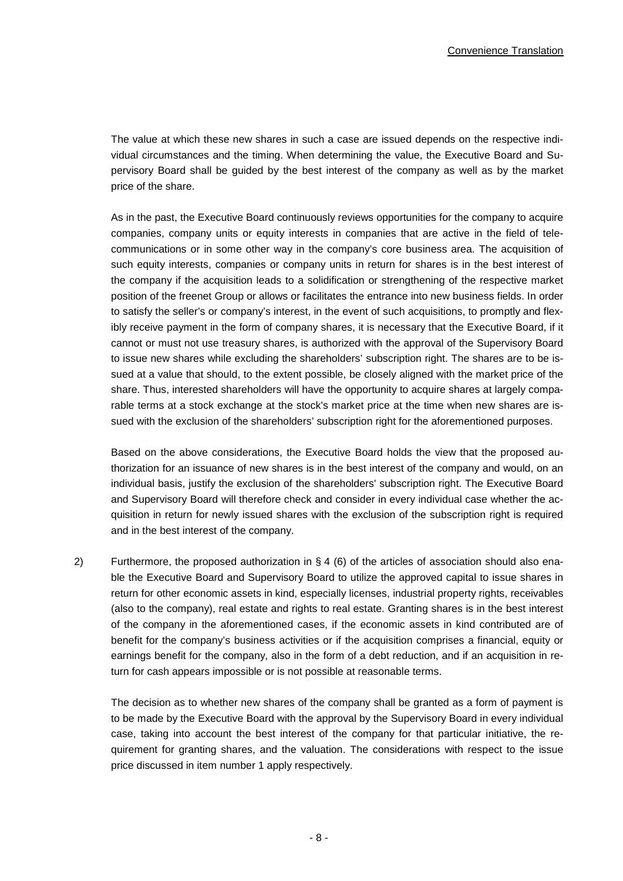The value at which these new shares in such a case are issued depends on the respective individual circumstances and the timing. When determining the value, the Executive Board and Supervisory Board shall be guided by the best interest of the company as well as by the market price of the share.

As in the past, the Executive Board continuously reviews opportunities for the company to acquire companies, company units or equity interests in companies that are active in the field of telecommunications or in some other way in the company's core business area. The acquisition of such equity interests, companies or company units in return for shares is in the best interest of the company if the acquisition leads to a solidification or strengthening of the respective market position of the freenet Group or allows or facilitates the entrance into new business fields. In order to satisfy the seller's or company's interest, in the event of such acquisitions, to promptly and flexibly receive payment in the form of company shares, it is necessary that the Executive Board, if it cannot or must not use treasury shares, is authorized with the approval of the Supervisory Board to issue new shares while excluding the shareholders' subscription right. The shares are to be issued at a value that should, to the extent possible, be closely aligned with the market price of the share. Thus, interested shareholders will have the opportunity to acquire shares at largely comparable terms at a stock exchange at the stock's market price at the time when new shares are issued with the exclusion of the shareholders' subscription right for the aforementioned purposes.

Based on the above considerations, the Executive Board holds the view that the proposed authorization for an issuance of new shares is in the best interest of the company and would, on an individual basis, justify the exclusion of the shareholders' subscription right. The Executive Board and Supervisory Board will therefore check and consider in every individual case whether the acquisition in return for newly issued shares with the exclusion of the subscription right is required and in the best interest of the company.

2) Furthermore, the proposed authorization in  $\S 4$  (6) of the articles of association should also enable the Executive Board and Supervisory Board to utilize the approved capital to issue shares in return for other economic assets in kind, especially licenses, industrial property rights, receivables (also to the company), real estate and rights to real estate. Granting shares is in the best interest of the company in the aforementioned cases, if the economic assets in kind contributed are of benefit for the company's business activities or if the acquisition comprises a financial, equity or earnings benefit for the company, also in the form of a debt reduction, and if an acquisition in return for cash appears impossible or is not possible at reasonable terms.

The decision as to whether new shares of the company shall be granted as a form of payment is to be made by the Executive Board with the approval by the Supervisory Board in every individual case, taking into account the best interest of the company for that particular initiative, the requirement for granting shares, and the valuation. The considerations with respect to the issue price discussed in item number 1 apply respectively.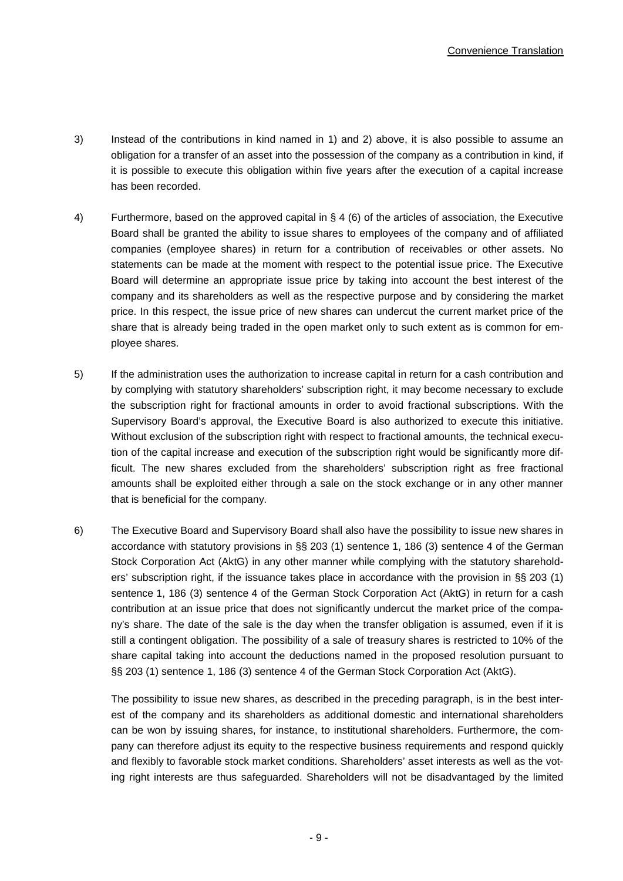- 3) Instead of the contributions in kind named in 1) and 2) above, it is also possible to assume an obligation for a transfer of an asset into the possession of the company as a contribution in kind, if it is possible to execute this obligation within five years after the execution of a capital increase has been recorded.
- 4) Furthermore, based on the approved capital in § 4 (6) of the articles of association, the Executive Board shall be granted the ability to issue shares to employees of the company and of affiliated companies (employee shares) in return for a contribution of receivables or other assets. No statements can be made at the moment with respect to the potential issue price. The Executive Board will determine an appropriate issue price by taking into account the best interest of the company and its shareholders as well as the respective purpose and by considering the market price. In this respect, the issue price of new shares can undercut the current market price of the share that is already being traded in the open market only to such extent as is common for employee shares.
- 5) If the administration uses the authorization to increase capital in return for a cash contribution and by complying with statutory shareholders' subscription right, it may become necessary to exclude the subscription right for fractional amounts in order to avoid fractional subscriptions. With the Supervisory Board's approval, the Executive Board is also authorized to execute this initiative. Without exclusion of the subscription right with respect to fractional amounts, the technical execution of the capital increase and execution of the subscription right would be significantly more difficult. The new shares excluded from the shareholders' subscription right as free fractional amounts shall be exploited either through a sale on the stock exchange or in any other manner that is beneficial for the company.
- 6) The Executive Board and Supervisory Board shall also have the possibility to issue new shares in accordance with statutory provisions in §§ 203 (1) sentence 1, 186 (3) sentence 4 of the German Stock Corporation Act (AktG) in any other manner while complying with the statutory shareholders' subscription right, if the issuance takes place in accordance with the provision in §§ 203 (1) sentence 1, 186 (3) sentence 4 of the German Stock Corporation Act (AktG) in return for a cash contribution at an issue price that does not significantly undercut the market price of the company's share. The date of the sale is the day when the transfer obligation is assumed, even if it is still a contingent obligation. The possibility of a sale of treasury shares is restricted to 10% of the share capital taking into account the deductions named in the proposed resolution pursuant to §§ 203 (1) sentence 1, 186 (3) sentence 4 of the German Stock Corporation Act (AktG).

The possibility to issue new shares, as described in the preceding paragraph, is in the best interest of the company and its shareholders as additional domestic and international shareholders can be won by issuing shares, for instance, to institutional shareholders. Furthermore, the company can therefore adjust its equity to the respective business requirements and respond quickly and flexibly to favorable stock market conditions. Shareholders' asset interests as well as the voting right interests are thus safeguarded. Shareholders will not be disadvantaged by the limited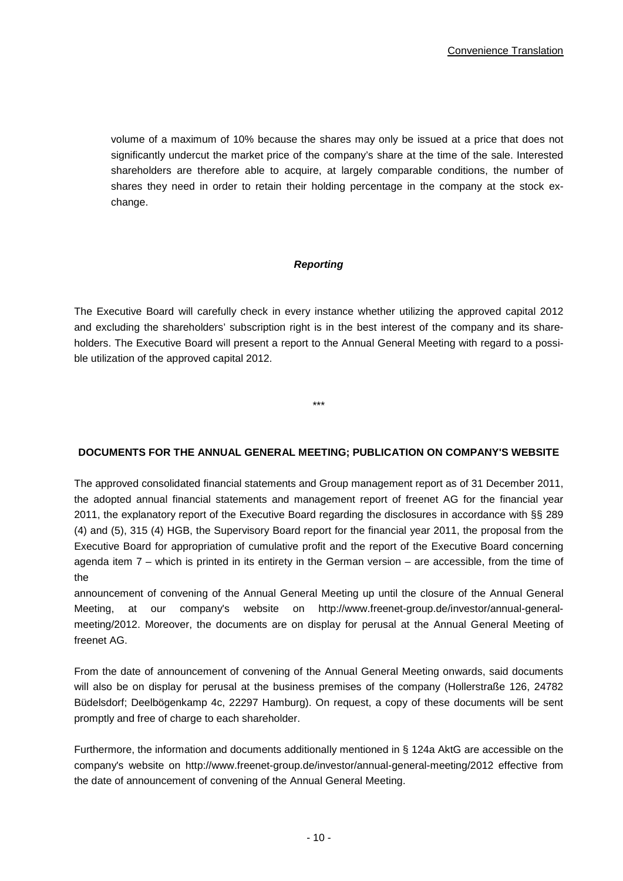volume of a maximum of 10% because the shares may only be issued at a price that does not significantly undercut the market price of the company's share at the time of the sale. Interested shareholders are therefore able to acquire, at largely comparable conditions, the number of shares they need in order to retain their holding percentage in the company at the stock exchange.

#### *Reporting*

The Executive Board will carefully check in every instance whether utilizing the approved capital 2012 and excluding the shareholders' subscription right is in the best interest of the company and its shareholders. The Executive Board will present a report to the Annual General Meeting with regard to a possible utilization of the approved capital 2012.

\*\*\*

#### **DOCUMENTS FOR THE ANNUAL GENERAL MEETING; PUBLICATION ON COMPANY'S WEBSITE**

The approved consolidated financial statements and Group management report as of 31 December 2011, the adopted annual financial statements and management report of freenet AG for the financial year 2011, the explanatory report of the Executive Board regarding the disclosures in accordance with §§ 289 (4) and (5), 315 (4) HGB, the Supervisory Board report for the financial year 2011, the proposal from the Executive Board for appropriation of cumulative profit and the report of the Executive Board concerning agenda item 7 – which is printed in its entirety in the German version – are accessible, from the time of the

announcement of convening of the Annual General Meeting up until the closure of the Annual General Meeting, at our company's website on http://www.freenet-group.de/investor/annual-generalmeeting/2012. Moreover, the documents are on display for perusal at the Annual General Meeting of freenet AG.

From the date of announcement of convening of the Annual General Meeting onwards, said documents will also be on display for perusal at the business premises of the company (Hollerstraße 126, 24782 Büdelsdorf; Deelbögenkamp 4c, 22297 Hamburg). On request, a copy of these documents will be sent promptly and free of charge to each shareholder.

Furthermore, the information and documents additionally mentioned in § 124a AktG are accessible on the company's website on http://www.freenet-group.de/investor/annual-general-meeting/2012 effective from the date of announcement of convening of the Annual General Meeting.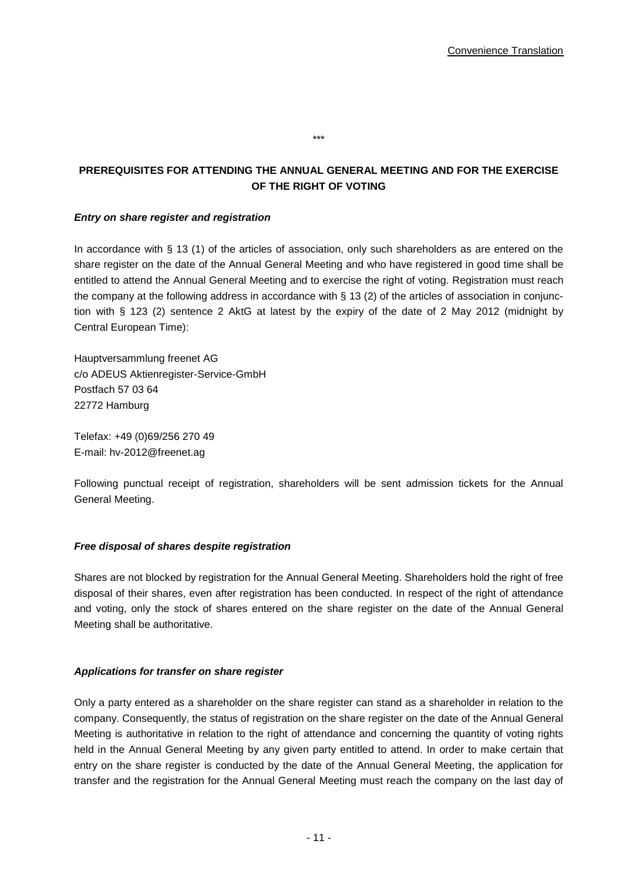# **PREREQUISITES FOR ATTENDING THE ANNUAL GENERAL MEETING AND FOR THE EXERCISE OF THE RIGHT OF VOTING**

\*\*\*

## *Entry on share register and registration*

In accordance with § 13 (1) of the articles of association, only such shareholders as are entered on the share register on the date of the Annual General Meeting and who have registered in good time shall be entitled to attend the Annual General Meeting and to exercise the right of voting. Registration must reach the company at the following address in accordance with  $\S$  13 (2) of the articles of association in conjunction with § 123 (2) sentence 2 AktG at latest by the expiry of the date of 2 May 2012 (midnight by Central European Time):

Hauptversammlung freenet AG c/o ADEUS Aktienregister-Service-GmbH Postfach 57 03 64 22772 Hamburg

Telefax: +49 (0)69/256 270 49 E-mail: hv-2012@freenet.ag

Following punctual receipt of registration, shareholders will be sent admission tickets for the Annual General Meeting.

#### *Free disposal of shares despite registration*

Shares are not blocked by registration for the Annual General Meeting. Shareholders hold the right of free disposal of their shares, even after registration has been conducted. In respect of the right of attendance and voting, only the stock of shares entered on the share register on the date of the Annual General Meeting shall be authoritative.

#### *Applications for transfer on share register*

Only a party entered as a shareholder on the share register can stand as a shareholder in relation to the company. Consequently, the status of registration on the share register on the date of the Annual General Meeting is authoritative in relation to the right of attendance and concerning the quantity of voting rights held in the Annual General Meeting by any given party entitled to attend. In order to make certain that entry on the share register is conducted by the date of the Annual General Meeting, the application for transfer and the registration for the Annual General Meeting must reach the company on the last day of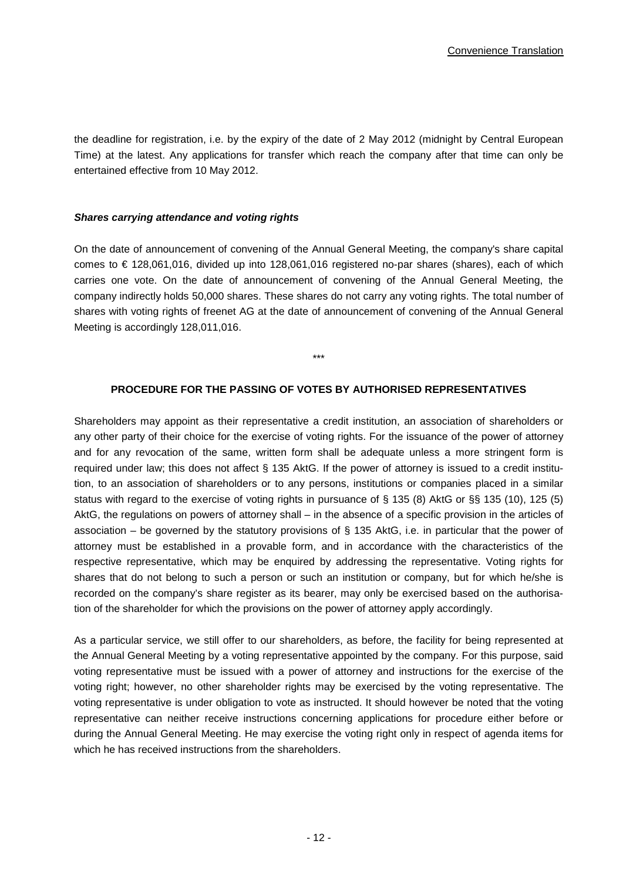the deadline for registration, i.e. by the expiry of the date of 2 May 2012 (midnight by Central European Time) at the latest. Any applications for transfer which reach the company after that time can only be entertained effective from 10 May 2012.

#### *Shares carrying attendance and voting rights*

On the date of announcement of convening of the Annual General Meeting, the company's share capital comes to € 128,061,016, divided up into 128,061,016 registered no-par shares (shares), each of which carries one vote. On the date of announcement of convening of the Annual General Meeting, the company indirectly holds 50,000 shares. These shares do not carry any voting rights. The total number of shares with voting rights of freenet AG at the date of announcement of convening of the Annual General Meeting is accordingly 128,011,016.

\*\*\*

#### **PROCEDURE FOR THE PASSING OF VOTES BY AUTHORISED REPRESENTATIVES**

Shareholders may appoint as their representative a credit institution, an association of shareholders or any other party of their choice for the exercise of voting rights. For the issuance of the power of attorney and for any revocation of the same, written form shall be adequate unless a more stringent form is required under law; this does not affect § 135 AktG. If the power of attorney is issued to a credit institution, to an association of shareholders or to any persons, institutions or companies placed in a similar status with regard to the exercise of voting rights in pursuance of § 135 (8) AktG or §§ 135 (10), 125 (5) AktG, the regulations on powers of attorney shall – in the absence of a specific provision in the articles of association – be governed by the statutory provisions of § 135 AktG, i.e. in particular that the power of attorney must be established in a provable form, and in accordance with the characteristics of the respective representative, which may be enquired by addressing the representative. Voting rights for shares that do not belong to such a person or such an institution or company, but for which he/she is recorded on the company's share register as its bearer, may only be exercised based on the authorisation of the shareholder for which the provisions on the power of attorney apply accordingly.

As a particular service, we still offer to our shareholders, as before, the facility for being represented at the Annual General Meeting by a voting representative appointed by the company. For this purpose, said voting representative must be issued with a power of attorney and instructions for the exercise of the voting right; however, no other shareholder rights may be exercised by the voting representative. The voting representative is under obligation to vote as instructed. It should however be noted that the voting representative can neither receive instructions concerning applications for procedure either before or during the Annual General Meeting. He may exercise the voting right only in respect of agenda items for which he has received instructions from the shareholders.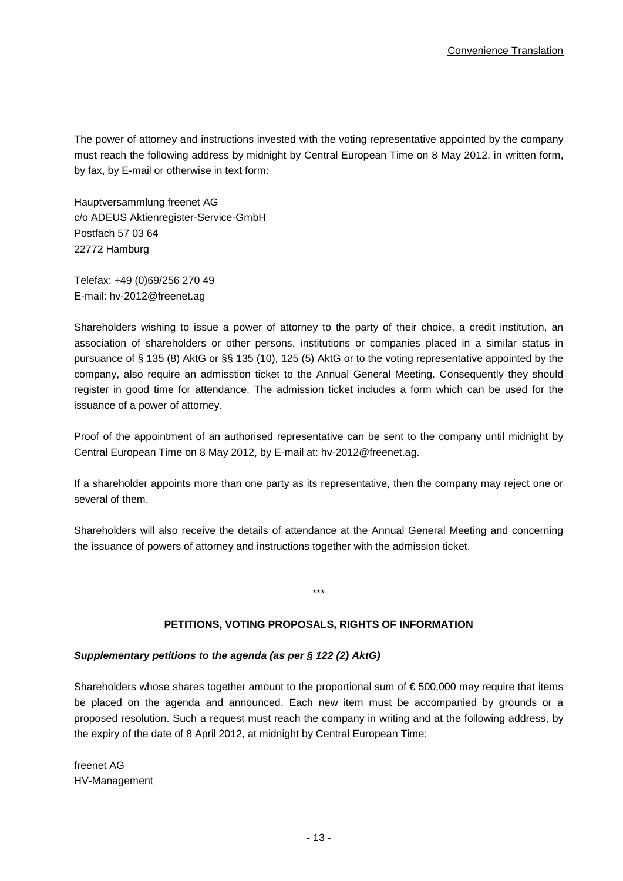The power of attorney and instructions invested with the voting representative appointed by the company must reach the following address by midnight by Central European Time on 8 May 2012, in written form, by fax, by E-mail or otherwise in text form:

Hauptversammlung freenet AG c/o ADEUS Aktienregister-Service-GmbH Postfach 57 03 64 22772 Hamburg

Telefax: +49 (0)69/256 270 49 E-mail: hv-2012@freenet.ag

Shareholders wishing to issue a power of attorney to the party of their choice, a credit institution, an association of shareholders or other persons, institutions or companies placed in a similar status in pursuance of § 135 (8) AktG or §§ 135 (10), 125 (5) AktG or to the voting representative appointed by the company, also require an admisstion ticket to the Annual General Meeting. Consequently they should register in good time for attendance. The admission ticket includes a form which can be used for the issuance of a power of attorney.

Proof of the appointment of an authorised representative can be sent to the company until midnight by Central European Time on 8 May 2012, by E-mail at: hv-2012@freenet.ag.

If a shareholder appoints more than one party as its representative, then the company may reject one or several of them.

Shareholders will also receive the details of attendance at the Annual General Meeting and concerning the issuance of powers of attorney and instructions together with the admission ticket.

\*\*\*

#### **PETITIONS, VOTING PROPOSALS, RIGHTS OF INFORMATION**

#### *Supplementary petitions to the agenda (as per § 122 (2) AktG)*

Shareholders whose shares together amount to the proportional sum of  $\epsilon$  500,000 may require that items be placed on the agenda and announced. Each new item must be accompanied by grounds or a proposed resolution. Such a request must reach the company in writing and at the following address, by the expiry of the date of 8 April 2012, at midnight by Central European Time:

freenet AG HV-Management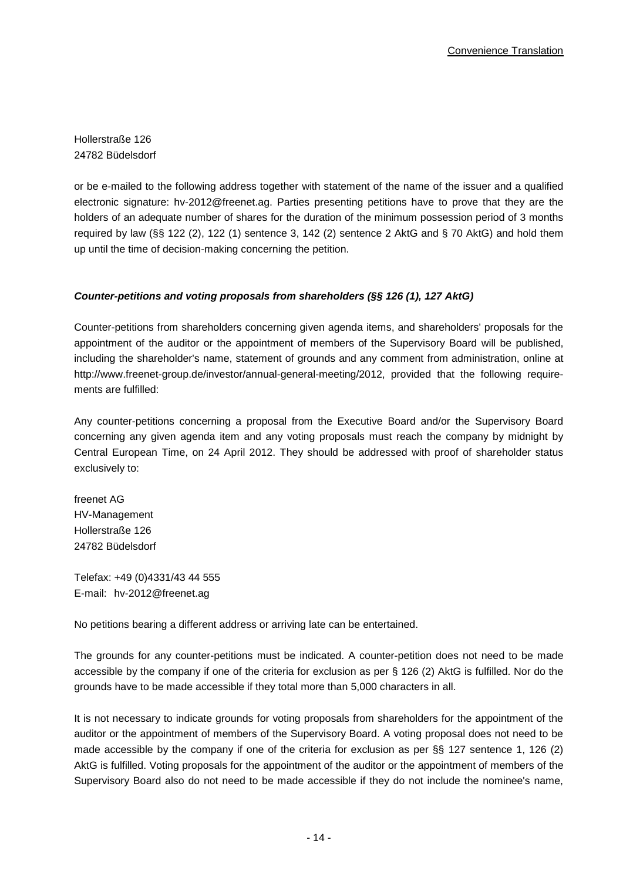Hollerstraße 126 24782 Büdelsdorf

or be e-mailed to the following address together with statement of the name of the issuer and a qualified electronic signature: hv-2012@freenet.ag. Parties presenting petitions have to prove that they are the holders of an adequate number of shares for the duration of the minimum possession period of 3 months required by law (§§ 122 (2), 122 (1) sentence 3, 142 (2) sentence 2 AktG and § 70 AktG) and hold them up until the time of decision-making concerning the petition.

## *Counter-petitions and voting proposals from shareholders (§§ 126 (1), 127 AktG)*

Counter-petitions from shareholders concerning given agenda items, and shareholders' proposals for the appointment of the auditor or the appointment of members of the Supervisory Board will be published, including the shareholder's name, statement of grounds and any comment from administration, online at http://www.freenet-group.de/investor/annual-general-meeting/2012, provided that the following requirements are fulfilled:

Any counter-petitions concerning a proposal from the Executive Board and/or the Supervisory Board concerning any given agenda item and any voting proposals must reach the company by midnight by Central European Time, on 24 April 2012. They should be addressed with proof of shareholder status exclusively to:

freenet AG HV-Management Hollerstraße 126 24782 Büdelsdorf

Telefax: +49 (0)4331/43 44 555 E-mail: hv-2012@freenet.ag

No petitions bearing a different address or arriving late can be entertained.

The grounds for any counter-petitions must be indicated. A counter-petition does not need to be made accessible by the company if one of the criteria for exclusion as per § 126 (2) AktG is fulfilled. Nor do the grounds have to be made accessible if they total more than 5,000 characters in all.

It is not necessary to indicate grounds for voting proposals from shareholders for the appointment of the auditor or the appointment of members of the Supervisory Board. A voting proposal does not need to be made accessible by the company if one of the criteria for exclusion as per §§ 127 sentence 1, 126 (2) AktG is fulfilled. Voting proposals for the appointment of the auditor or the appointment of members of the Supervisory Board also do not need to be made accessible if they do not include the nominee's name,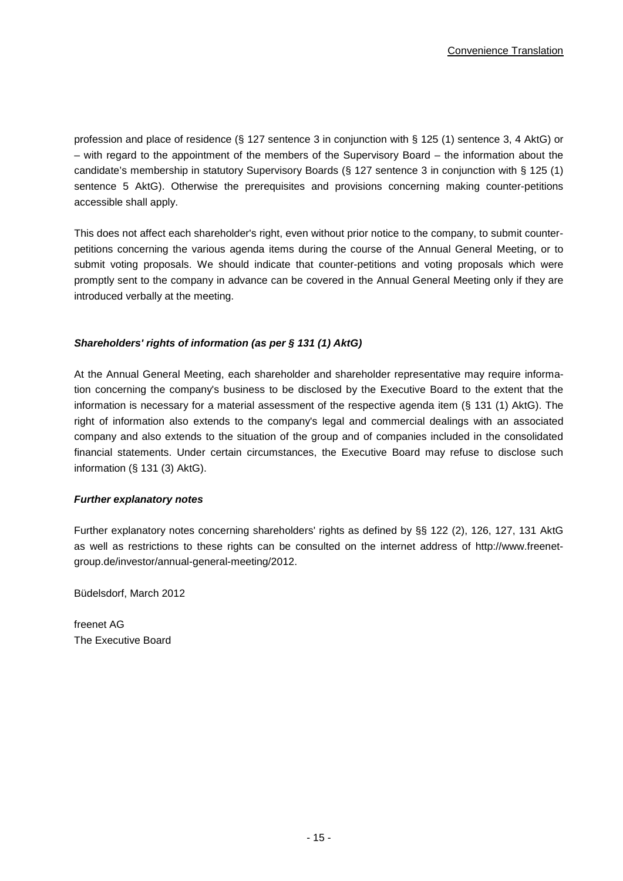profession and place of residence (§ 127 sentence 3 in conjunction with § 125 (1) sentence 3, 4 AktG) or – with regard to the appointment of the members of the Supervisory Board – the information about the candidate's membership in statutory Supervisory Boards (§ 127 sentence 3 in conjunction with § 125 (1) sentence 5 AktG). Otherwise the prerequisites and provisions concerning making counter-petitions accessible shall apply.

This does not affect each shareholder's right, even without prior notice to the company, to submit counterpetitions concerning the various agenda items during the course of the Annual General Meeting, or to submit voting proposals. We should indicate that counter-petitions and voting proposals which were promptly sent to the company in advance can be covered in the Annual General Meeting only if they are introduced verbally at the meeting.

## *Shareholders' rights of information (as per § 131 (1) AktG)*

At the Annual General Meeting, each shareholder and shareholder representative may require information concerning the company's business to be disclosed by the Executive Board to the extent that the information is necessary for a material assessment of the respective agenda item (§ 131 (1) AktG). The right of information also extends to the company's legal and commercial dealings with an associated company and also extends to the situation of the group and of companies included in the consolidated financial statements. Under certain circumstances, the Executive Board may refuse to disclose such information (§ 131 (3) AktG).

#### *Further explanatory notes*

Further explanatory notes concerning shareholders' rights as defined by §§ 122 (2), 126, 127, 131 AktG as well as restrictions to these rights can be consulted on the internet address of http://www.freenetgroup.de/investor/annual-general-meeting/2012.

Büdelsdorf, March 2012

freenet AG The Executive Board